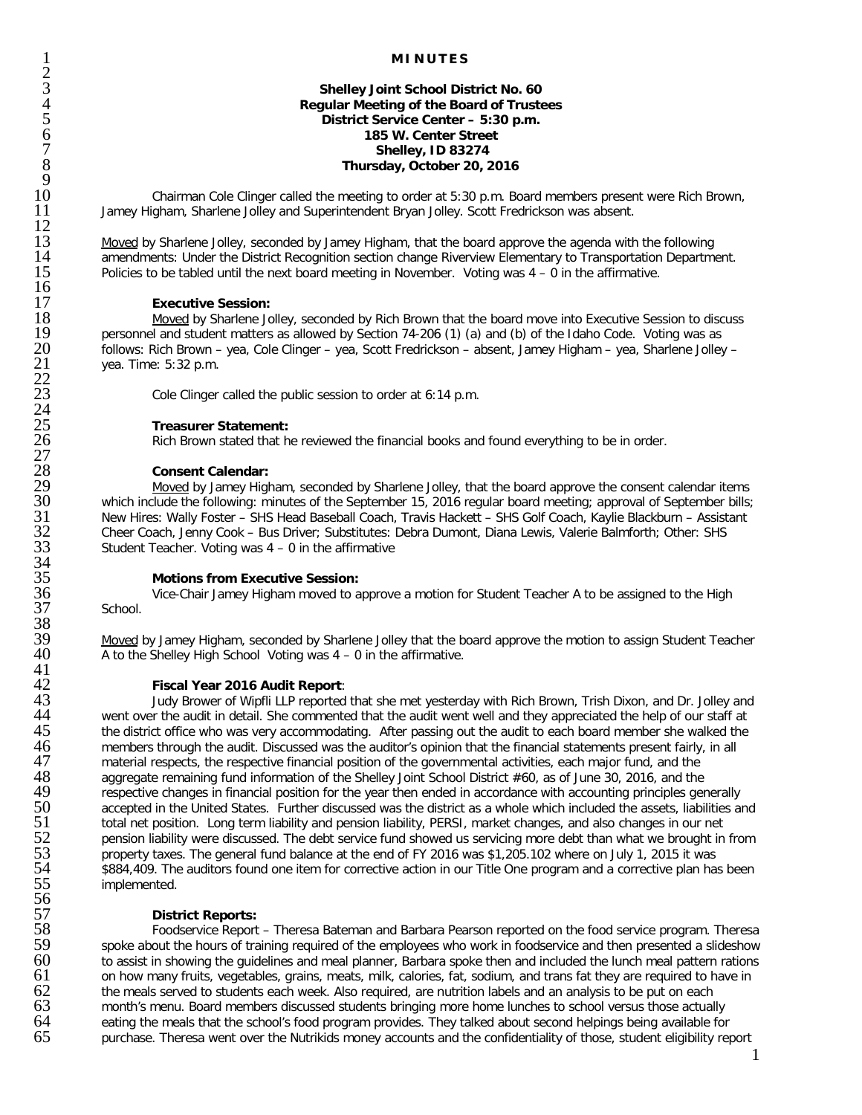# 1 **M INUTES**

# 3 **Shelley Joint School District No. 60** 4 **Regular Meeting of the Board of Trustees** 5 **District Service Center – 5:30 p.m.** 6 **185 W. Center Street** 7 **Shelley, ID 83274** 8 **Thursday, October 20, 2016**

10 Chairman Cole Clinger called the meeting to order at 5:30 p.m. Board members present were Rich Brown,<br>11 Jamey Higham, Sharlene Jolley and Superintendent Bryan Jolley, Scott Fredrickson was absent. Jamey Higham, Sharlene Jolley and Superintendent Bryan Jolley. Scott Fredrickson was absent.

Moved by Sharlene Jolley, seconded by Jamey Higham, that the board approve the agenda with the following 14 amendments: Under the District Recognition section change Riverview Elementary to Transportation Department.<br>15 Policies to be tabled until the next board meeting in November. Voting was 4 – 0 in the affirmative. Policies to be tabled until the next board meeting in November. Voting was  $4 - 0$  in the affirmative.

17 **Executive Session:**<br>18 **Moved** by Sharlene Jo Moved by Sharlene Jolley, seconded by Rich Brown that the board move into Executive Session to discuss 19 personnel and student matters as allowed by Section 74-206 (1) (a) and (b) of the Idaho Code. Voting was as 20 follows: Rich Brown – yea, Cole Clinger – yea, Scott Fredrickson – absent, Jamey Higham – yea, Sharlene Jolley – yea. Time: 5:32 p.m.

Cole Clinger called the public session to order at 6:14 p.m.

### **Treasurer Statement:**

Rich Brown stated that he reviewed the financial books and found everything to be in order.

### **Consent Calendar:**

Moved by Jamey Higham, seconded by Sharlene Jolley, that the board approve the consent calendar items which include the following: minutes of the September 15, 2016 regular board meeting; approval of September bills; New Hires: Wally Foster – SHS Head Baseball Coach, Travis Hackett – SHS Golf Coach, Kaylie Blackburn – Assistant 32 Cheer Coach, Jenny Cook – Bus Driver; Substitutes: Debra Dumont, Diana Lewis, Valerie Balmforth; Other: SHS Student Teacher. Voting was  $4 - 0$  in the affirmative

### 35 **Motions from Executive Session:**

Vice-Chair Jamey Higham moved to approve a motion for Student Teacher A to be assigned to the High School.

39 Moved by Jamey Higham, seconded by Sharlene Jolley that the board approve the motion to assign Student Teacher<br>40 A to the Shelley High School Voting was 4 – 0 in the affirmative. A to the Shelley High School Voting was  $4 - 0$  in the affirmative.

42 **Fiscal Year 2016 Audit Report**: Judy Brower of Wipfli LLP reported that she met yesterday with Rich Brown, Trish Dixon, and Dr. Jolley and 44 vent over the audit in detail. She commented that the audit went well and they appreciated the help of our staff went over the audit in detail. She commented that the audit went well and they appreciated the help of our staff at<br>45 the district office who was very accommodating. After passing out the audit to each board member she wa 45 the district office who was very accommodating. After passing out the audit to each board member she walked the<br>46 members through the audit. Discussed was the auditor's opinion that the financial statements present fai members through the audit. Discussed was the auditor's opinion that the financial statements present fairly, in all material respects, the respective financial position of the governmental activities, each major fund, and the<br>aggregate remaining fund information of the Shelley Joint School District #60, as of June 30, 2016, and the<br>resp aggregate remaining fund information of the Shelley Joint School District #60, as of June 30, 2016, and the respective changes in financial position for the year then ended in accordance with accounting principles generally accepted in the United States. Further discussed was the district as a whole which included the assets, liabilities and total net position. Long term liability and pension liability, PERSI, market changes, and also changes in our net 52 pension liability were discussed. The debt service fund showed us servicing more debt than what we brought in from 53 property taxes. The general fund balance at the end of FY 2016 was \$1,205.102 where on July 1, 2015 it was<br>\$884,409. The auditors found one item for corrective action in our Title One program and a corrective plan has<br>5 \$884,409. The auditors found one item for corrective action in our Title One program and a corrective plan has been implemented.

57 **District Reports:**<br>58 **District Report**<br>59 **Dispoke about the hours of trans** Foodservice Report – Theresa Bateman and Barbara Pearson reported on the food service program. Theresa 59 spoke about the hours of training required of the employees who work in foodservice and then presented a slideshow<br>60 to assist in showing the guidelines and meal planner, Barbara spoke then and included the lunch meal 60 to assist in showing the guidelines and meal planner, Barbara spoke then and included the lunch meal pattern rations<br>61 on how many fruits, vegetables, grains, meats, milk, calories, fat, sodium, and trans fat they are 61 on how many fruits, vegetables, grains, meats, milk, calories, fat, sodium, and trans fat they are required to have in  $62$  the meals served to students each week. Also required, are nutrition labels and an analysis to 62 the meals served to students each week. Also required, are nutrition labels and an analysis to be put on each<br>63 month's menu. Board members discussed students bringing more home lunches to school versus those actuall 63 month's menu. Board members discussed students bringing more home lunches to school versus those actually 64 eating the meals that the school's food program provides. They talked about second helpings being available for<br>65 purchase. Theresa went over the Nutrikids money accounts and the confidentiality of those, student eligi purchase. Theresa went over the Nutrikids money accounts and the confidentiality of those, student eligibility report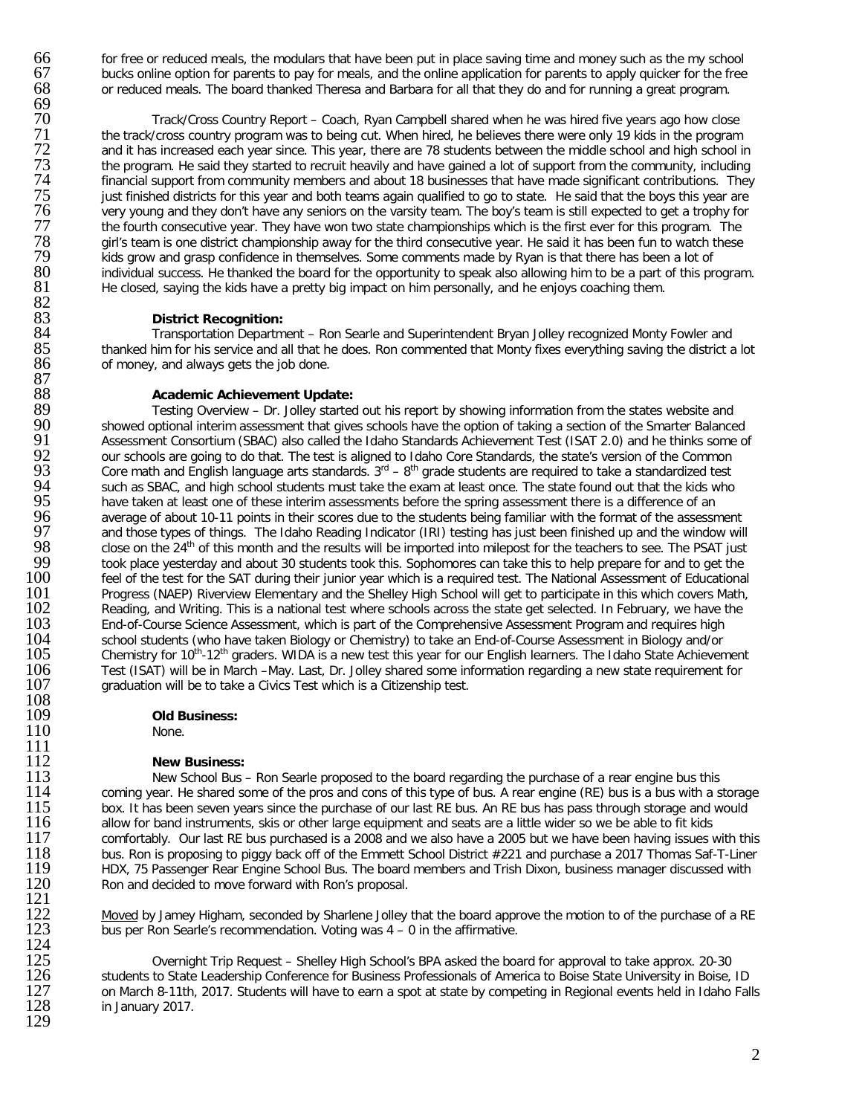for free or reduced meals, the modulars that have been put in place saving time and money such as the my school<br>67 bucks online option for parents to pay for meals, and the online application for parents to apply quicker f  $67$  bucks online option for parents to pay for meals, and the online application for parents to apply quicker for the free<br> $68$  or reduced meals. The board thanked Theresa and Barbara for all that they do and for running or reduced meals. The board thanked Theresa and Barbara for all that they do and for running a great program.

Track/Cross Country Report - Coach, Ryan Campbell shared when he was hired five years ago how close the track/cross country program was to being cut. When hired, he believes there were only 19 kids in the program and it has increased each year since. This year, there are 78 students between the middle school and high school in the program. He said they started to recruit heavily and have gained a lot of support from the community, including financial support from community members and about 18 businesses that have made significant contributions. They just finished districts for this year and both teams again qualified to go to state. He said that the boys this year are 76 very young and they don't have any seniors on the varsity team. The boy's team is still expected to get a trophy for the fourth consecutive year. They have won two state championships which is the first ever for this program. The girl's team is one district championship away for the third consecutive year. He said it has been fun to watch these xids grow and grasp confidence in themselves. Some comments made by Ryan is that there has been a lot of individual success. He thanked the board for the opportunity to speak also allowing him to be a part of this program. He closed, saying the kids have a pretty big impact on him personally, and he enjoys coaching them.

# **District Recognition:**

Transportation Department – Ron Searle and Superintendent Bryan Jolley recognized Monty Fowler and thanked him for his service and all that he does. Ron commented that Monty fixes everything saving the district a lot of money, and always gets the job done.

88 **Academic Achievement Update:**<br>89 Testing Overview – Dr. Jolley started Selate of the started out his report by showing information from the states website and<br>
90 showed optional interim assessment that gives schools have the option of taking a section of the Smarter Balance<br>
91 Assessment C showed optional interim assessment that gives schools have the option of taking a section of the Smarter Balanced Assessment Consortium (SBAC) also called the Idaho Standards Achievement Test (ISAT 2.0) and he thinks some of our schools are going to do that. The test is aligned to Idaho Core Standards, the state's version of the Common Core math and English language arts standards.  $3^{rd} - 8^{th}$  grade students are required to take a standardized test such as SBAC, and high school students must take the exam at least once. The state found out that the kids who have taken at least one of these interim assessments before the spring assessment there is a difference of an average of about 10-11 points in their scores due to the students being familiar with the format of the assessment and those types of things. The Idaho Reading Indicator (IRI) testing has just been finished up and the window will close on the 24<sup>th</sup> of this month and the results will be imported into milepost for the teachers to see. The PSAT just took place yesterday and about 30 students took this. Sophomores can take this to help prepare for and to get the 100 feel of the test for the SAT during their junior year which is a required test. The National Assessment of Educational 101 reprogress (NAEP) Riverview Elementary and the Shelley High School will get to participate in t 101 Progress (NAEP) Riverview Elementary and the Shelley High School will get to participate in this which covers Math,<br>102 Reading, and Writing. This is a national test where schools across the state get selected. In Febr 102 Reading, and Writing. This is a national test where schools across the state get selected. In February, we have the<br>103 End-of-Course Science Assessment, which is part of the Comprehensive Assessment Program and reguir 103 End-of-Course Science Assessment, which is part of the Comprehensive Assessment Program and requires high<br>104 school students (who have taken Biology or Chemistry) to take an End-of-Course Assessment in Biology and/or 104 school students (who have taken Biology or Chemistry) to take an End-of-Course Assessment in Biology and/or<br>105 Chemistry for 10<sup>th</sup>-12<sup>th</sup> graders. WIDA is a new test this year for our English learners. The Idaho Sta Chemistry for  $10^{th}$ - $12^{th}$  graders. WIDA is a new test this year for our English learners. The Idaho State Achievement  $106$  Test (ISAT) will be in March – May. Last, Dr. Jolley shared some information regarding a new 106 Test (ISAT) will be in March –May. Last, Dr. Jolley shared some information regarding a new state requirement for<br>107 graduation will be to take a Civics Test which is a Citizenship test. graduation will be to take a Civics Test which is a Citizenship test.

# **Old Business:**

110 None.

112 **New Business:**<br>113 **New School Bus** New School Bus – Ron Searle proposed to the board regarding the purchase of a rear engine bus this<br>114 coming year. He shared some of the pros and cons of this type of bus. A rear engine (RE) bus is a bus with a s 114 coming year. He shared some of the pros and cons of this type of bus. A rear engine (RE) bus is a bus with a storage<br>115 box. It has been seven years since the purchase of our last RE bus. An RE bus has pass through st 115 box. It has been seven years since the purchase of our last RE bus. An RE bus has pass through storage and would 116 allow for band instruments, skis or other large equipment and seats are a little wider so we be able 116 allow for band instruments, skis or other large equipment and seats are a little wider so we be able to fit kids<br>117 comfortably. Our last RE bus purchased is a 2008 and we also have a 2005 but we have been having issu 117 comfortably. Our last RE bus purchased is a 2008 and we also have a 2005 but we have been having issues with this<br>118 bus. Ron is proposing to piggy back off of the Emmett School District #221 and purchase a 2017 Thoma 118 bus. Ron is proposing to piggy back off of the Emmett School District #221 and purchase a 2017 Thomas Saf-T-Liner 119 HDX, 75 Passenger Rear Engine School Bus. The board members and Trish Dixon, business manager discussed with<br>120 Hon and decided to move forward with Ron's proposal. Ron and decided to move forward with Ron's proposal.

122 Moved by Jamey Higham, seconded by Sharlene Jolley that the board approve the motion to of the purchase of a RE<br>123 bus per Ron Searle's recommendation. Voting was 4 – 0 in the affirmative. bus per Ron Searle's recommendation. Voting was  $4 - 0$  in the affirmative.

125 Overnight Trip Request – Shelley High School's BPA asked the board for approval to take approx. 20-30<br>126 Students to State Leadership Conference for Business Professionals of America to Boise State University in Boise 126 students to State Leadership Conference for Business Professionals of America to Boise State University in Boise, ID<br>127 on March 8-11th, 2017. Students will have to earn a spot at state by competing in Regional events 127 on March 8-11th, 2017. Students will have to earn a spot at state by competing in Regional events held in Idaho Falls in January 2017.

69